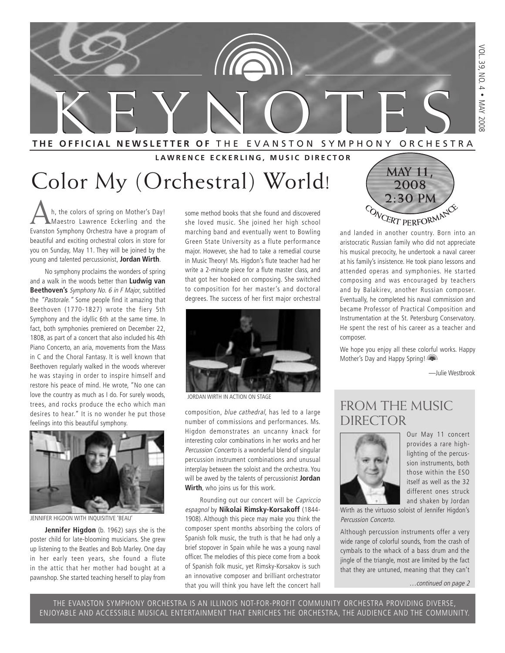

#### **LAWRENCE ECKERLING, MUSIC DIRECTOR**

# Color My (Orchestral) World!  $\begin{pmatrix} \frac{MAN & 11}{2008} \\ \frac{1}{2008} \end{pmatrix}$

Ah, the colors of spring on Mother's Day!<br>Maestro Lawrence Eckerling and the<br>Evangton Symphony Orchostra have a program of Evanston Symphony Orchestra have a program of beautiful and exciting orchestral colors in store for you on Sunday, May 11. They will be joined by the young and talented percussionist, **Jordan Wirth**.

No symphony proclaims the wonders of spring and a walk in the woods better than **Ludwig van Beethoven's** Symphony No. 6 in F Major, subtitled the "Pastorale." Some people find it amazing that Beethoven (1770-1827) wrote the fiery 5th Symphony and the idyllic 6th at the same time. In fact, both symphonies premiered on December 22, 1808, as part of a concert that also included his 4th Piano Concerto, an aria, movements from the Mass in C and the Choral Fantasy. It is well known that Beethoven regularly walked in the woods wherever he was staying in order to inspire himself and restore his peace of mind. He wrote, "No one can love the country as much as I do. For surely woods, trees, and rocks produce the echo which man desires to hear." It is no wonder he put those feelings into this beautiful symphony.



JENNIFER HIGDON WITH INQUISITIVE 'BEAU'

**Jennifer Higdon** (b. 1962) says she is the poster child for late-blooming musicians. She grew up listening to the Beatles and Bob Marley. One day in her early teen years, she found a flute in the attic that her mother had bought at a pawnshop. She started teaching herself to play from some method books that she found and discovered she loved music. She joined her high school marching band and eventually went to Bowling Green State University as a flute performance major. However, she had to take a remedial course in Music Theory! Ms. Higdon's flute teacher had her write a 2-minute piece for a flute master class, and that got her hooked on composing. She switched to composition for her master's and doctoral degrees. The success of her first major orchestral



JORDAN WIRTH IN ACTION ON STAGE

composition, blue cathedral, has led to a large number of commissions and performances. Ms. Higdon demonstrates an uncanny knack for interesting color combinations in her works and her Percussion Concerto is a wonderful blend of singular percussion instrument combinations and unusual interplay between the soloist and the orchestra. You will be awed by the talents of percussionist **Jordan Wirth**, who joins us for this work.

Rounding out our concert will be Capriccio espagnol by **Nikolai Rimsky-Korsakoff** (1844- 1908). Although this piece may make you think the composer spent months absorbing the colors of Spanish folk music, the truth is that he had only a brief stopover in Spain while he was a young naval officer. The melodies of this piece come from a book of Spanish folk music, yet Rimsky-Korsakov is such an innovative composer and brilliant orchestrator that you will think you have left the concert hall



and landed in another country. Born into an aristocratic Russian family who did not appreciate his musical precocity, he undertook a naval career at his family's insistence. He took piano lessons and attended operas and symphonies. He started composing and was encouraged by teachers and by Balakirev, another Russian composer. Eventually, he completed his naval commission and became Professor of Practical Composition and Instrumentation at the St. Petersburg Conservatory. He spent the rest of his career as a teacher and composer.

We hope you enjoy all these colorful works. Happy Mother's Day and Happy Spring!

—Julie Westbrook

### FROM THE MUSIC DIRECTOR



Our May 11 concert provides a rare highlighting of the percussion instruments, both those within the ESO itself as well as the 32 different ones struck and shaken by Jordan

Wirth as the virtuoso soloist of Jennifer Higdon's Percussion Concerto.

Although percussion instruments offer a very wide range of colorful sounds, from the crash of cymbals to the whack of a bass drum and the jingle of the triangle, most are limited by the fact that they are untuned, meaning that they can't

…continued on page 2

THE EVANSTON SYMPHONY ORCHESTRA IS AN ILLINOIS NOT-FOR-PROFIT COMMUNITY ORCHESTRA PROVIDING DIVERSE, ENJOYABLE AND ACCESSIBLE MUSICAL ENTERTAINMENT THAT ENRICHES THE ORCHESTRA, THE AUDIENCE AND THE COMMUNITY.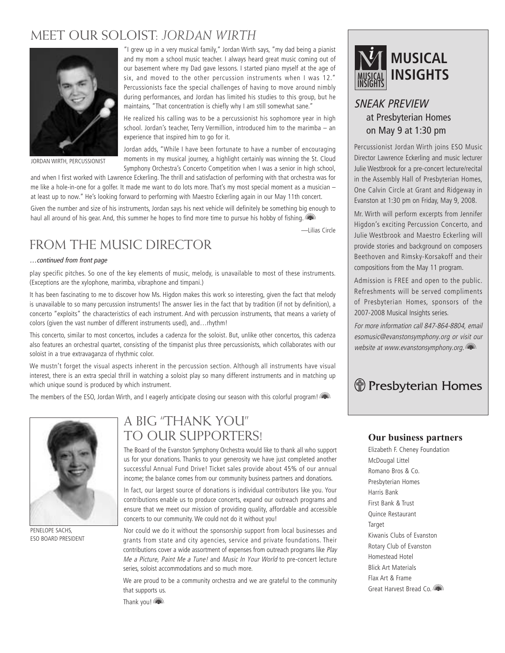### MEET OUR SOLOIST: *JORDAN WIRTH*



JORDAN WIRTH, PERCUSSIONIST

"I grew up in a very musical family," Jordan Wirth says, "my dad being a pianist and my mom a school music teacher. I always heard great music coming out of our basement where my Dad gave lessons. I started piano myself at the age of six, and moved to the other percussion instruments when I was 12." Percussionists face the special challenges of having to move around nimbly during performances, and Jordan has limited his studies to this group, but he maintains, "That concentration is chiefly why I am still somewhat sane."

He realized his calling was to be a percussionist his sophomore year in high school. Jordan's teacher, Terry Vermillion, introduced him to the marimba – an experience that inspired him to go for it.

Jordan adds, "While I have been fortunate to have a number of encouraging moments in my musical journey, a highlight certainly was winning the St. Cloud Symphony Orchestra's Concerto Competition when I was a senior in high school,

and when I first worked with Lawrence Eckerling. The thrill and satisfaction of performing with that orchestra was for me like a hole-in-one for a golfer. It made me want to do lots more. That's my most special moment as a musician – at least up to now." He's looking forward to performing with Maestro Eckerling again in our May 11th concert.

Given the number and size of his instruments, Jordan says his next vehicle will definitely be something big enough to haul all around of his gear. And, this summer he hopes to find more time to pursue his hobby of fishing.

—Lilias Circle

### FROM THE MUSIC DIRECTOR

#### …continued from front page

play specific pitches. So one of the key elements of music, melody, is unavailable to most of these instruments. (Exceptions are the xylophone, marimba, vibraphone and timpani.)

It has been fascinating to me to discover how Ms. Higdon makes this work so interesting, given the fact that melody is unavailable to so many percussion instruments! The answer lies in the fact that by tradition (if not by definition), a concerto "exploits" the characteristics of each instrument. And with percussion instruments, that means a variety of colors (given the vast number of different instruments used), and…rhythm!

This concerto, similar to most concertos, includes a cadenza for the soloist. But, unlike other concertos, this cadenza also features an orchestral quartet, consisting of the timpanist plus three percussionists, which collaborates with our soloist in a true extravaganza of rhythmic color.

We mustn't forget the visual aspects inherent in the percussion section. Although all instruments have visual interest, there is an extra special thrill in watching a soloist play so many different instruments and in matching up which unique sound is produced by which instrument.

The members of the ESO, Jordan Wirth, and I eagerly anticipate closing our season with this colorful program!



PENELOPE SACHS, ESO BOARD PRESIDENT

### A BIG "THANK YOU" TO OUR SUPPORTERS!

The Board of the Evanston Symphony Orchestra would like to thank all who support us for your donations. Thanks to your generosity we have just completed another successful Annual Fund Drive! Ticket sales provide about 45% of our annual income; the balance comes from our community business partners and donations.

In fact, our largest source of donations is individual contributors like you. Your contributions enable us to produce concerts, expand our outreach programs and ensure that we meet our mission of providing quality, affordable and accessible concerts to our community. We could not do it without you!

Nor could we do it without the sponsorship support from local businesses and grants from state and city agencies, service and private foundations. Their contributions cover a wide assortment of expenses from outreach programs like Play Me a Picture, Paint Me a Tune! and Music In Your World to pre-concert lecture series, soloist accommodations and so much more.

We are proud to be a community orchestra and we are grateful to the community that supports us.



### SNEAK PREVIEW at Presbyterian Homes on May 9 at 1:30 pm

Percussionist Jordan Wirth joins ESO Music Director Lawrence Eckerling and music lecturer Julie Westbrook for a pre-concert lecture/recital in the Assembly Hall of Presbyterian Homes, One Calvin Circle at Grant and Ridgeway in Evanston at 1:30 pm on Friday, May 9, 2008.

Mr. Wirth will perform excerpts from Jennifer Higdon's exciting Percussion Concerto, and Julie Westbrook and Maestro Eckerling will provide stories and background on composers Beethoven and Rimsky-Korsakoff and their compositions from the May 11 program.

Admission is FREE and open to the public. Refreshments will be served compliments of Presbyterian Homes, sponsors of the 2007-2008 Musical Insights series.

For more information call 847-864-8804, email esomusic@evanstonsymphony.org or visit our website at www.evanstonsymphony.org.

### *Herebyterian Homes*

#### **Our business partners**

Elizabeth F. Cheney Foundation McDougal Littel Romano Bros & Co. Presbyterian Homes Harris Bank First Bank & Trust Quince Restaurant Target Kiwanis Clubs of Evanston Rotary Club of Evanston Homestead Hotel Blick Art Materials Flax Art & Frame Great Harvest Bread Co.

Thank you!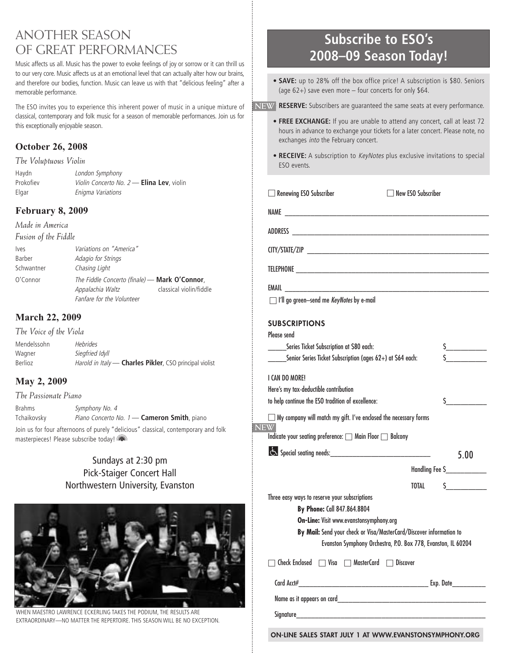### ANOTHER SEASON OF GREAT PERFORMANCES

Music affects us all. Music has the power to evoke feelings of joy or sorrow or it can thrill us to our very core. Music affects us at an emotional level that can actually alter how our brains, and therefore our bodies, function. Music can leave us with that "delicious feeling" after a memorable performance.

The ESO invites you to experience this inherent power of music in a unique mixture of classical, contemporary and folk music for a season of memorable performances. Join us for this exceptionally enjoyable season.

#### **October 26, 2008**

*The Voluptuous Violin*

| Haydn     | London Symphony                                  |
|-----------|--------------------------------------------------|
| Prokofiev | <i>Violin Concerto No. 2 - Elina Lev. violin</i> |
| Elgar     | Enigma Variations                                |

#### **February 8, 2009**

*Made in America Fusion of the Fiddle*

| <i>lves</i> | <i>Variations on "America"</i>                |                         |
|-------------|-----------------------------------------------|-------------------------|
| Barber      | Adagio for Strings                            |                         |
| Schwantner  | Chasing Light                                 |                         |
| O'Connor    | The Fiddle Concerto (finale) — Mark O'Connor, |                         |
|             | Appalachia Waltz                              | classical violin/fiddle |
|             | Fanfare for the Volunteer                     |                         |

#### **March 22, 2009**

*The Voice of the Viola* Mendelssohn Hebrides Wagner Siegfried Idyll Berlioz **Harold in Italy - Charles Pikler**, CSO principal violist

#### **May 2, 2009**

*The Passionate Piano* Brahms Symphony No. 4 Tchaikovsky Piano Concerto No. 1 - Cameron Smith, piano Join us for four afternoons of purely "delicious" classical, contemporary and folk masterpieces! Please subscribe today!

#### Sundays at 2:30 pm Pick-Staiger Concert Hall Northwestern University, Evanston



WHEN MAESTRO LAWRENCE ECKERLING TAKES THE PODIUM, THE RESULTS ARE EXTRAORDINARY—NO MATTER THE REPERTOIRE. THIS SEASON WILL BE NO EXCEPTION.

### **Subscribe to ESO's 2008–09 Season Today!**

**• SAVE:** up to 28% off the box office price! A subscription is \$80. Seniors (age 62+) save even more – four concerts for only \$64.

**• RESERVE:** Subscribers are guaranteed the same seats at every performance. **NEW**

- **FREE EXCHANGE:** If you are unable to attend any concert, call at least 72 hours in advance to exchange your tickets for a later concert. Please note, no exchanges into the February concert.
- **RECEIVE:** A subscription to *KeyNotes* plus exclusive invitations to special ESO events.

NAME \_\_\_\_\_\_\_\_\_\_\_\_\_\_\_\_\_\_\_\_\_\_\_\_\_\_\_\_\_\_\_\_\_\_\_\_\_\_\_\_\_\_\_\_\_\_\_\_\_\_\_\_\_\_\_

□ Renewing ESO Subscriber □ New ESO Subscriber

| <b>ADDRECC</b><br>ハレレハレンノ |  |
|---------------------------|--|

CITY/STATE/ZIP \_\_\_\_\_\_\_\_\_\_\_\_\_\_\_\_\_\_\_\_\_\_\_\_\_\_\_\_\_\_\_\_\_\_\_\_\_\_\_\_\_\_\_\_\_\_\_\_\_

EMAIL **EMAIL** 

□ I'll go green-send me KeyNotes by e-mail

#### **SUBSCRIPTIONS**

| Please send                                                                                                                                                                                                                        |                                      |
|------------------------------------------------------------------------------------------------------------------------------------------------------------------------------------------------------------------------------------|--------------------------------------|
| Series Ticket Subscription at \$80 each:                                                                                                                                                                                           | s                                    |
| Senior Series Ticket Subscription (ages $62+$ ) at \$64 each:                                                                                                                                                                      |                                      |
| I CAN DO MORE!                                                                                                                                                                                                                     |                                      |
| Here's my tax-deductible contribution                                                                                                                                                                                              |                                      |
| to help continue the ESO tradition of excellence:                                                                                                                                                                                  | $\mathsf{S}$                         |
| $\Box$ My company will match my gift. I've enclosed the necessary forms<br><b>NEW</b>                                                                                                                                              |                                      |
| Indicate your seating preference: □ Main Floor □ Balcony                                                                                                                                                                           |                                      |
|                                                                                                                                                                                                                                    | 5.00                                 |
|                                                                                                                                                                                                                                    | Handling Fee S____________           |
|                                                                                                                                                                                                                                    | $\frac{1}{\sqrt{2}}$<br><b>TOTAL</b> |
| Three easy ways to reserve your subscriptions                                                                                                                                                                                      |                                      |
| By Phone: Call 847.864.8804                                                                                                                                                                                                        |                                      |
| On-Line: Visit www.evanstonsymphony.org                                                                                                                                                                                            |                                      |
| By Mail: Send your check or Visa/MasterCard/Discover information to                                                                                                                                                                |                                      |
| Evanston Symphony Orchestra, P.O. Box 778, Evanston, IL 60204                                                                                                                                                                      |                                      |
| Check Enclosed $\Box$ Visa $\Box$ MasterCard $\Box$ Discover                                                                                                                                                                       |                                      |
| Card Acct# Exp. Date                                                                                                                                                                                                               |                                      |
|                                                                                                                                                                                                                                    |                                      |
| Signature <b>Signature</b> that the state of the state of the state of the state of the state of the state of the state of the state of the state of the state of the state of the state of the state of the state of the state of |                                      |
|                                                                                                                                                                                                                                    |                                      |

**ON-LINE SALES START JULY 1 AT WWW.EVANSTONSYMPHONY.ORG**